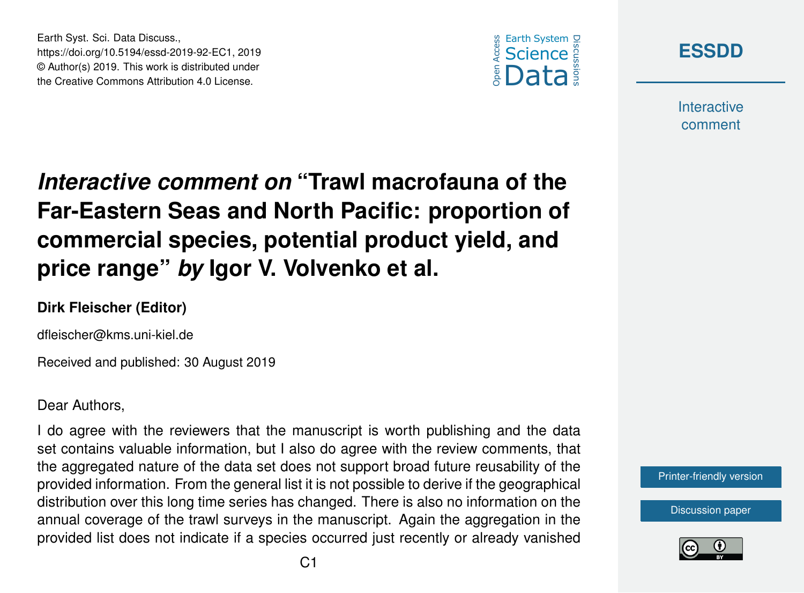



**Interactive** comment

## *Interactive comment on* **"Trawl macrofauna of the Far-Eastern Seas and North Pacific: proportion of commercial species, potential product yield, and price range"** *by* **Igor V. Volvenko et al.**

## **Dirk Fleischer (Editor)**

Earth Syst. Sci. Data Discuss.,

https://doi.org/10.5194/essd-2019-92-EC1, 2019 © Author(s) 2019. This work is distributed under the Creative Commons Attribution 4.0 License.

dfleischer@kms.uni-kiel.de

Received and published: 30 August 2019

## Dear Authors,

I do agree with the reviewers that the manuscript is worth publishing and the data set contains valuable information, but I also do agree with the review comments, that the aggregated nature of the data set does not support broad future reusability of the provided information. From the general list it is not possible to derive if the geographical distribution over this long time series has changed. There is also no information on the annual coverage of the trawl surveys in the manuscript. Again the aggregation in the provided list does not indicate if a species occurred just recently or already vanished



[Discussion paper](https://www.earth-syst-sci-data-discuss.net/essd-2019-92)